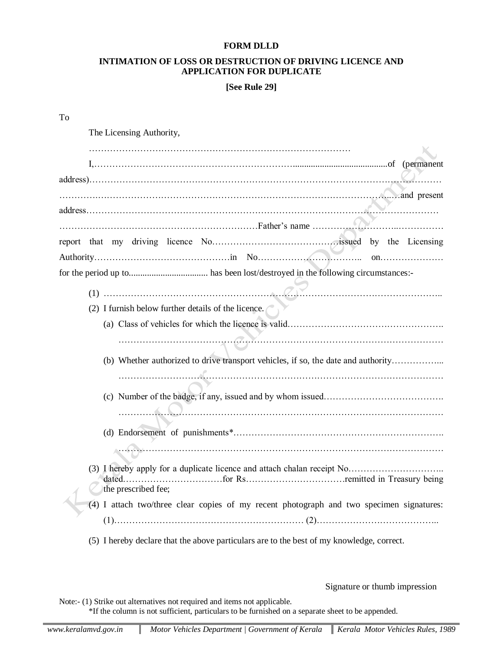#### **FORM DLLD**

### **INTIMATION OF LOSS OR DESTRUCTION OF DRIVING LICENCE AND APPLICATION FOR DUPLICATE**

**[See Rule 29]**

| To |                                                                                           |
|----|-------------------------------------------------------------------------------------------|
|    | The Licensing Authority,                                                                  |
|    |                                                                                           |
|    |                                                                                           |
|    |                                                                                           |
|    |                                                                                           |
|    |                                                                                           |
|    |                                                                                           |
|    |                                                                                           |
|    |                                                                                           |
|    |                                                                                           |
|    | (2) I furnish below further details of the licence.                                       |
|    |                                                                                           |
|    |                                                                                           |
|    | (b) Whether authorized to drive transport vehicles, if so, the date and authority         |
|    |                                                                                           |
|    |                                                                                           |
|    |                                                                                           |
|    |                                                                                           |
|    |                                                                                           |
|    |                                                                                           |
|    | the prescribed fee;                                                                       |
|    | (4) I attach two/three clear copies of my recent photograph and two specimen signatures:  |
|    |                                                                                           |
|    | (5) I hereby declare that the above particulars are to the best of my knowledge, correct. |

Signature or thumb impression

Note:- (1) Strike out alternatives not required and items not applicable. \*If the column is not sufficient, particulars to be furnished on a separate sheet to be appended.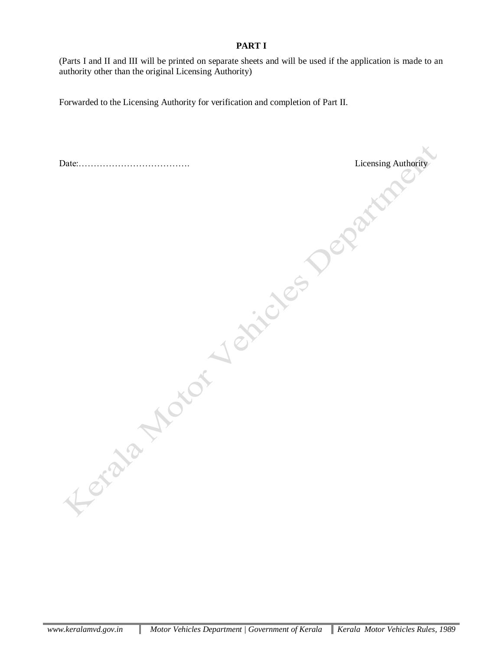## **PART I**

(Parts I and II and III will be printed on separate sheets and will be used if the application is made to an authority other than the original Licensing Authority)

Forwarded to the Licensing Authority for verification and completion of Part II. Licensing Authority Contraction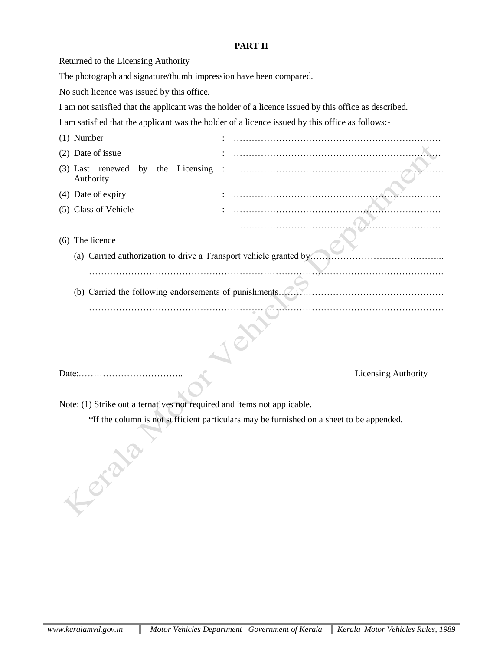# **PART II**

| Returned to the Licensing Authority                                                      |                                                                                                       |  |  |
|------------------------------------------------------------------------------------------|-------------------------------------------------------------------------------------------------------|--|--|
| The photograph and signature/thumb impression have been compared.                        |                                                                                                       |  |  |
| No such licence was issued by this office.                                               |                                                                                                       |  |  |
|                                                                                          | I am not satisfied that the applicant was the holder of a licence issued by this office as described. |  |  |
|                                                                                          | I am satisfied that the applicant was the holder of a licence issued by this office as follows:-      |  |  |
| $(1)$ Number                                                                             |                                                                                                       |  |  |
| (2) Date of issue                                                                        |                                                                                                       |  |  |
| (3) Last renewed by<br>the Licensing<br>Authority                                        |                                                                                                       |  |  |
| (4) Date of expiry                                                                       |                                                                                                       |  |  |
| (5) Class of Vehicle                                                                     |                                                                                                       |  |  |
|                                                                                          |                                                                                                       |  |  |
| (6) The licence                                                                          |                                                                                                       |  |  |
| (a) Carried authorization to drive a Transport vehicle granted by.                       |                                                                                                       |  |  |
|                                                                                          |                                                                                                       |  |  |
| (b) Carried the following endorsements of punishments                                    |                                                                                                       |  |  |
|                                                                                          |                                                                                                       |  |  |
|                                                                                          |                                                                                                       |  |  |
|                                                                                          |                                                                                                       |  |  |
|                                                                                          |                                                                                                       |  |  |
|                                                                                          |                                                                                                       |  |  |
|                                                                                          | Licensing Authority                                                                                   |  |  |
| Note: (1) Strike out alternatives not required and items not applicable.                 |                                                                                                       |  |  |
| *If the column is not sufficient particulars may be furnished on a sheet to be appended. |                                                                                                       |  |  |
| Keraya                                                                                   |                                                                                                       |  |  |
|                                                                                          |                                                                                                       |  |  |